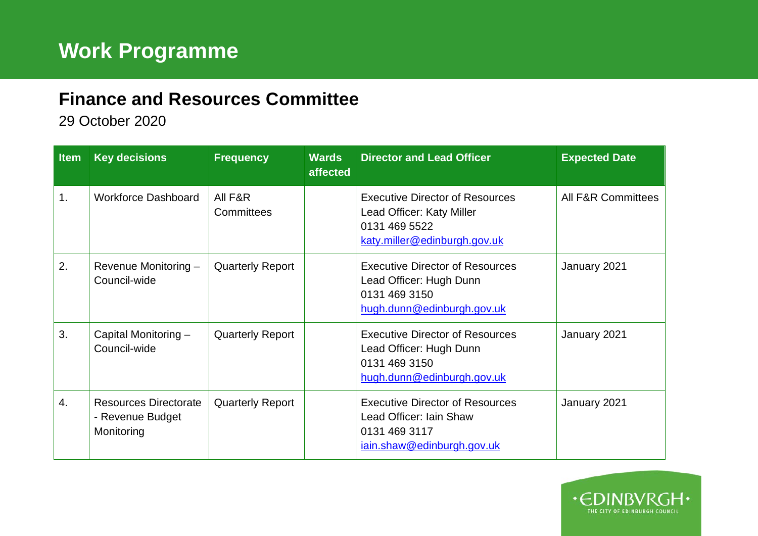## **Finance and Resources Committee**

29 October 2020

| <b>Item</b> | <b>Key decisions</b>                                           | <b>Frequency</b>        | <b>Wards</b><br>affected | <b>Director and Lead Officer</b>                                                                                     | <b>Expected Date</b>          |
|-------------|----------------------------------------------------------------|-------------------------|--------------------------|----------------------------------------------------------------------------------------------------------------------|-------------------------------|
| 1.          | <b>Workforce Dashboard</b>                                     | All F&R<br>Committees   |                          | <b>Executive Director of Resources</b><br>Lead Officer: Katy Miller<br>0131 469 5522<br>katy.miller@edinburgh.gov.uk | <b>All F&amp;R Committees</b> |
| 2.          | Revenue Monitoring -<br>Council-wide                           | <b>Quarterly Report</b> |                          | <b>Executive Director of Resources</b><br>Lead Officer: Hugh Dunn<br>0131 469 3150<br>hugh.dunn@edinburgh.gov.uk     | January 2021                  |
| 3.          | Capital Monitoring -<br>Council-wide                           | <b>Quarterly Report</b> |                          | <b>Executive Director of Resources</b><br>Lead Officer: Hugh Dunn<br>0131 469 3150<br>hugh.dunn@edinburgh.gov.uk     | January 2021                  |
| 4.          | <b>Resources Directorate</b><br>- Revenue Budget<br>Monitoring | <b>Quarterly Report</b> |                          | <b>Executive Director of Resources</b><br>Lead Officer: Iain Shaw<br>0131 469 3117<br>jain.shaw@edinburgh.gov.uk     | January 2021                  |

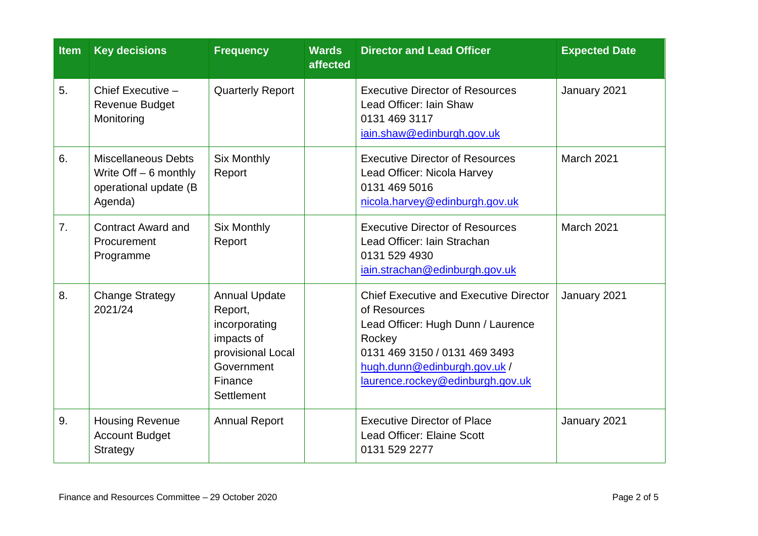| <b>Item</b>    | <b>Key decisions</b>                                                                      | <b>Frequency</b>                                                                                                           | <b>Wards</b><br>affected | <b>Director and Lead Officer</b>                                                                                                                                                                                   | <b>Expected Date</b> |
|----------------|-------------------------------------------------------------------------------------------|----------------------------------------------------------------------------------------------------------------------------|--------------------------|--------------------------------------------------------------------------------------------------------------------------------------------------------------------------------------------------------------------|----------------------|
| 5.             | Chief Executive -<br><b>Revenue Budget</b><br>Monitoring                                  | <b>Quarterly Report</b>                                                                                                    |                          | <b>Executive Director of Resources</b><br>Lead Officer: Iain Shaw<br>0131 469 3117<br>iain.shaw@edinburgh.gov.uk                                                                                                   | January 2021         |
| 6.             | <b>Miscellaneous Debts</b><br>Write $Off - 6$ monthly<br>operational update (B<br>Agenda) | <b>Six Monthly</b><br>Report                                                                                               |                          | <b>Executive Director of Resources</b><br>Lead Officer: Nicola Harvey<br>0131 469 5016<br>nicola.harvey@edinburgh.gov.uk                                                                                           | March 2021           |
| 7 <sub>1</sub> | <b>Contract Award and</b><br>Procurement<br>Programme                                     | <b>Six Monthly</b><br>Report                                                                                               |                          | <b>Executive Director of Resources</b><br>Lead Officer: Iain Strachan<br>0131 529 4930<br>iain.strachan@edinburgh.gov.uk                                                                                           | March 2021           |
| 8.             | <b>Change Strategy</b><br>2021/24                                                         | <b>Annual Update</b><br>Report,<br>incorporating<br>impacts of<br>provisional Local<br>Government<br>Finance<br>Settlement |                          | <b>Chief Executive and Executive Director</b><br>of Resources<br>Lead Officer: Hugh Dunn / Laurence<br>Rockey<br>0131 469 3150 / 0131 469 3493<br>hugh.dunn@edinburgh.gov.uk /<br>laurence.rockey@edinburgh.gov.uk | January 2021         |
| 9.             | <b>Housing Revenue</b><br><b>Account Budget</b><br>Strategy                               | <b>Annual Report</b>                                                                                                       |                          | <b>Executive Director of Place</b><br>Lead Officer: Elaine Scott<br>0131 529 2277                                                                                                                                  | January 2021         |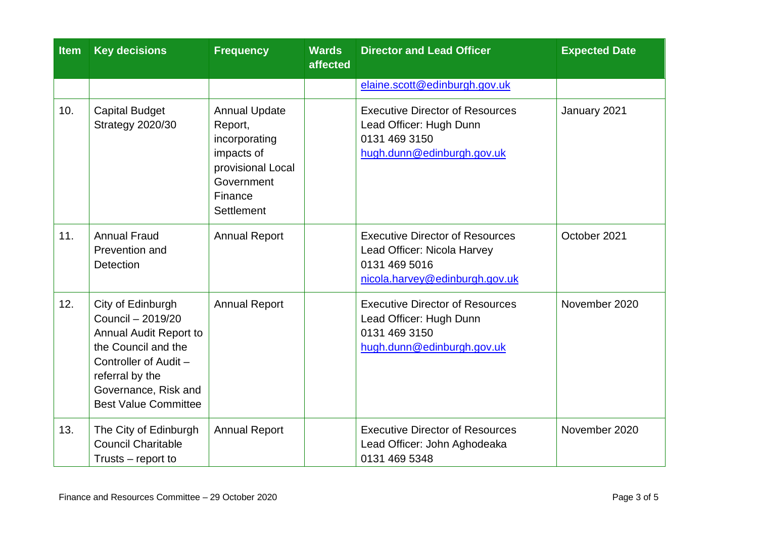| <b>Item</b> | <b>Key decisions</b>                                                                                                                                                                       | <b>Frequency</b>                                                                                                           | <b>Wards</b><br>affected | <b>Director and Lead Officer</b>                                                                                         | <b>Expected Date</b> |
|-------------|--------------------------------------------------------------------------------------------------------------------------------------------------------------------------------------------|----------------------------------------------------------------------------------------------------------------------------|--------------------------|--------------------------------------------------------------------------------------------------------------------------|----------------------|
|             |                                                                                                                                                                                            |                                                                                                                            |                          | elaine.scott@edinburgh.gov.uk                                                                                            |                      |
| 10.         | <b>Capital Budget</b><br><b>Strategy 2020/30</b>                                                                                                                                           | <b>Annual Update</b><br>Report,<br>incorporating<br>impacts of<br>provisional Local<br>Government<br>Finance<br>Settlement |                          | <b>Executive Director of Resources</b><br>Lead Officer: Hugh Dunn<br>0131 469 3150<br>hugh.dunn@edinburgh.gov.uk         | January 2021         |
| 11.         | <b>Annual Fraud</b><br>Prevention and<br>Detection                                                                                                                                         | <b>Annual Report</b>                                                                                                       |                          | <b>Executive Director of Resources</b><br>Lead Officer: Nicola Harvey<br>0131 469 5016<br>nicola.harvey@edinburgh.gov.uk | October 2021         |
| 12.         | City of Edinburgh<br>Council - 2019/20<br>Annual Audit Report to<br>the Council and the<br>Controller of Audit -<br>referral by the<br>Governance, Risk and<br><b>Best Value Committee</b> | <b>Annual Report</b>                                                                                                       |                          | <b>Executive Director of Resources</b><br>Lead Officer: Hugh Dunn<br>0131 469 3150<br>hugh.dunn@edinburgh.gov.uk         | November 2020        |
| 13.         | The City of Edinburgh<br><b>Council Charitable</b><br>Trusts – report to                                                                                                                   | <b>Annual Report</b>                                                                                                       |                          | <b>Executive Director of Resources</b><br>Lead Officer: John Aghodeaka<br>0131 469 5348                                  | November 2020        |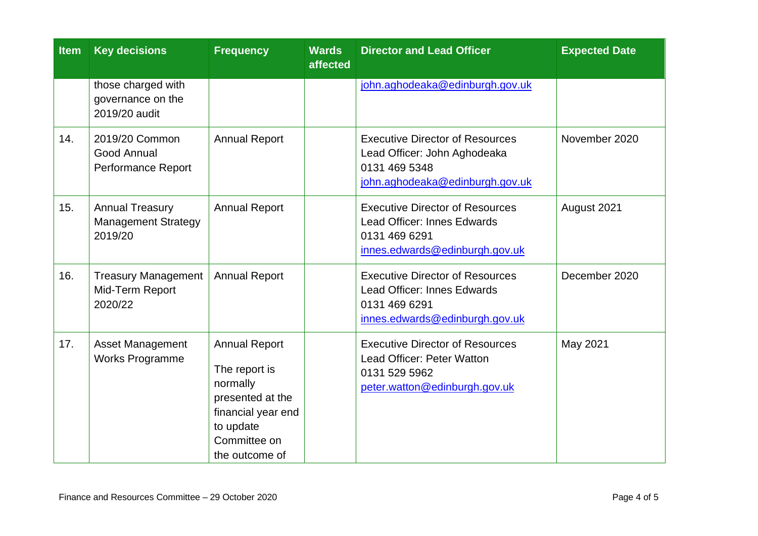| <b>Item</b> | <b>Key decisions</b>                                            | <b>Frequency</b>                                                                                                                           | <b>Wards</b><br>affected | <b>Director and Lead Officer</b>                                                                                                | <b>Expected Date</b> |
|-------------|-----------------------------------------------------------------|--------------------------------------------------------------------------------------------------------------------------------------------|--------------------------|---------------------------------------------------------------------------------------------------------------------------------|----------------------|
|             | those charged with<br>governance on the<br>2019/20 audit        |                                                                                                                                            |                          | john.aghodeaka@edinburgh.gov.uk                                                                                                 |                      |
| 14.         | 2019/20 Common<br>Good Annual<br>Performance Report             | <b>Annual Report</b>                                                                                                                       |                          | <b>Executive Director of Resources</b><br>Lead Officer: John Aghodeaka<br>0131 469 5348<br>john.aghodeaka@edinburgh.gov.uk      | November 2020        |
| 15.         | <b>Annual Treasury</b><br><b>Management Strategy</b><br>2019/20 | <b>Annual Report</b>                                                                                                                       |                          | <b>Executive Director of Resources</b><br><b>Lead Officer: Innes Edwards</b><br>0131 469 6291<br>innes.edwards@edinburgh.gov.uk | August 2021          |
| 16.         | <b>Treasury Management</b><br>Mid-Term Report<br>2020/22        | <b>Annual Report</b>                                                                                                                       |                          | <b>Executive Director of Resources</b><br><b>Lead Officer: Innes Edwards</b><br>0131 469 6291<br>innes.edwards@edinburgh.gov.uk | December 2020        |
| 17.         | Asset Management<br><b>Works Programme</b>                      | <b>Annual Report</b><br>The report is<br>normally<br>presented at the<br>financial year end<br>to update<br>Committee on<br>the outcome of |                          | <b>Executive Director of Resources</b><br>Lead Officer: Peter Watton<br>0131 529 5962<br>peter.watton@edinburgh.gov.uk          | May 2021             |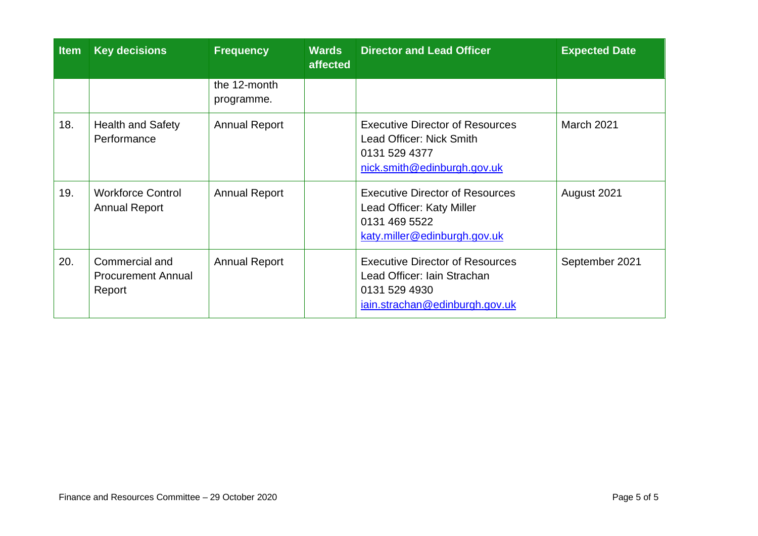| <b>Item</b> | <b>Key decisions</b>                                  | <b>Frequency</b>           | <b>Wards</b><br>affected | <b>Director and Lead Officer</b>                                                                                         | <b>Expected Date</b> |
|-------------|-------------------------------------------------------|----------------------------|--------------------------|--------------------------------------------------------------------------------------------------------------------------|----------------------|
|             |                                                       | the 12-month<br>programme. |                          |                                                                                                                          |                      |
| 18.         | <b>Health and Safety</b><br>Performance               | <b>Annual Report</b>       |                          | <b>Executive Director of Resources</b><br>Lead Officer: Nick Smith<br>0131 529 4377<br>nick.smith@edinburgh.gov.uk       | <b>March 2021</b>    |
| 19.         | <b>Workforce Control</b><br><b>Annual Report</b>      | <b>Annual Report</b>       |                          | <b>Executive Director of Resources</b><br>Lead Officer: Katy Miller<br>0131 469 5522<br>katy.miller@edinburgh.gov.uk     | August 2021          |
| 20.         | Commercial and<br><b>Procurement Annual</b><br>Report | <b>Annual Report</b>       |                          | <b>Executive Director of Resources</b><br>Lead Officer: Iain Strachan<br>0131 529 4930<br>iain.strachan@edinburgh.gov.uk | September 2021       |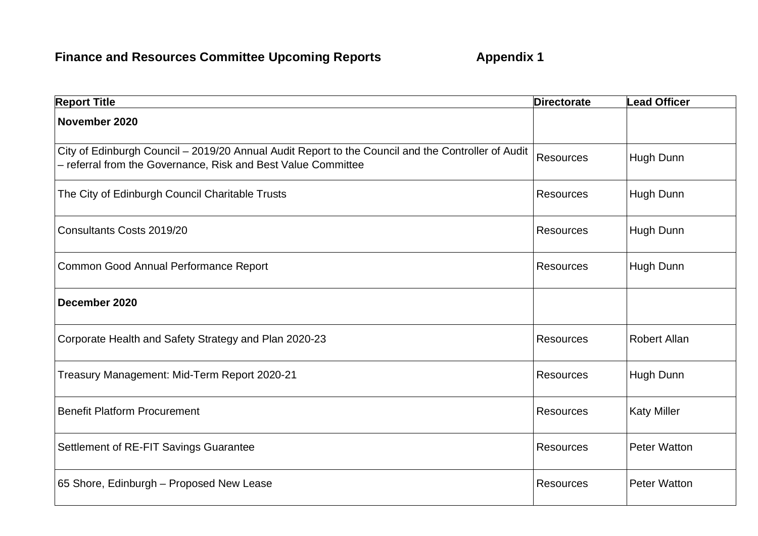| <b>Report Title</b>                                                                                                                                                 | <b>Directorate</b> | <b>Lead Officer</b> |
|---------------------------------------------------------------------------------------------------------------------------------------------------------------------|--------------------|---------------------|
| November 2020                                                                                                                                                       |                    |                     |
| City of Edinburgh Council - 2019/20 Annual Audit Report to the Council and the Controller of Audit<br>- referral from the Governance, Risk and Best Value Committee | Resources          | Hugh Dunn           |
| The City of Edinburgh Council Charitable Trusts                                                                                                                     | <b>Resources</b>   | Hugh Dunn           |
| Consultants Costs 2019/20                                                                                                                                           | <b>Resources</b>   | Hugh Dunn           |
| Common Good Annual Performance Report                                                                                                                               | <b>Resources</b>   | Hugh Dunn           |
| December 2020                                                                                                                                                       |                    |                     |
| Corporate Health and Safety Strategy and Plan 2020-23                                                                                                               | <b>Resources</b>   | <b>Robert Allan</b> |
| Treasury Management: Mid-Term Report 2020-21                                                                                                                        | <b>Resources</b>   | Hugh Dunn           |
| <b>Benefit Platform Procurement</b>                                                                                                                                 | <b>Resources</b>   | <b>Katy Miller</b>  |
| Settlement of RE-FIT Savings Guarantee                                                                                                                              | <b>Resources</b>   | <b>Peter Watton</b> |
| 65 Shore, Edinburgh - Proposed New Lease                                                                                                                            | <b>Resources</b>   | <b>Peter Watton</b> |